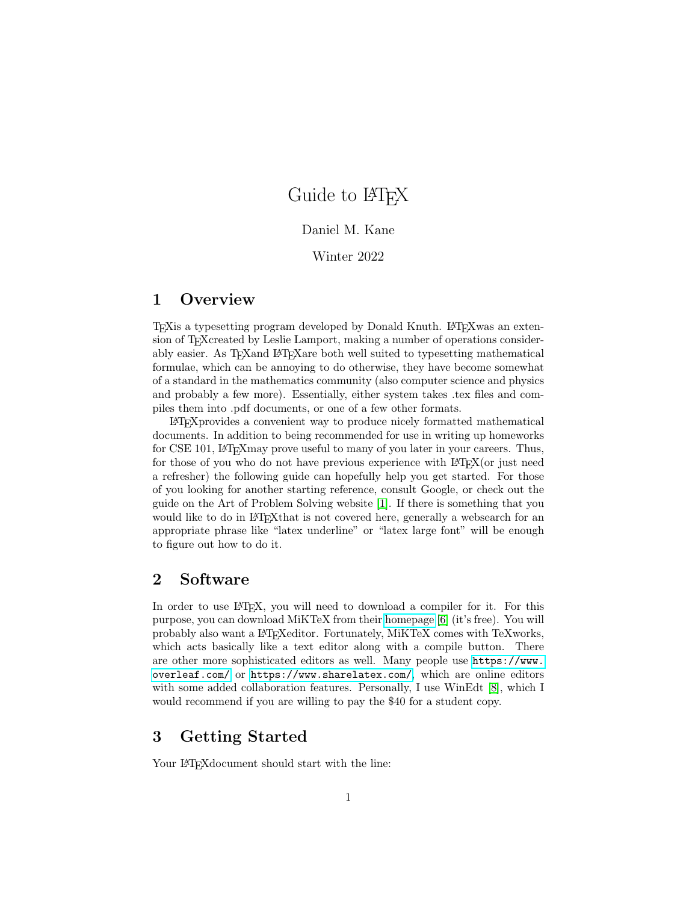# Guide to LAT<sub>EX</sub>

#### Daniel M. Kane

### Winter 2022

# 1 Overview

T<sub>EX</sub>IS a typesetting program developed by Donald Knuth. L<sup>AT</sup>EXwas an extension of TEXcreated by Leslie Lamport, making a number of operations considerably easier. As TEXand LATEXare both well suited to typesetting mathematical formulae, which can be annoying to do otherwise, they have become somewhat of a standard in the mathematics community (also computer science and physics and probably a few more). Essentially, either system takes .tex files and compiles them into .pdf documents, or one of a few other formats.

LATEXprovides a convenient way to produce nicely formatted mathematical documents. In addition to being recommended for use in writing up homeworks for CSE 101, LAT<sub>E</sub>Xmay prove useful to many of you later in your careers. Thus, for those of you who do not have previous experience with LATEX(or just need a refresher) the following guide can hopefully help you get started. For those of you looking for another starting reference, consult Google, or check out the guide on the Art of Problem Solving website [\[1\]](#page-10-0). If there is something that you would like to do in LAT<sub>E</sub>Xthat is not covered here, generally a websearch for an appropriate phrase like "latex underline" or "latex large font" will be enough to figure out how to do it.

# 2 Software

In order to use LAT<sub>EX</sub>, you will need to download a compiler for it. For this purpose, you can download MiKTeX from their [homepage](http://miktex.org/) [\[6\]](#page-11-0) (it's free). You will probably also want a LATEXeditor. Fortunately, MiKTeX comes with TeXworks, which acts basically like a text editor along with a compile button. There are other more sophisticated editors as well. Many people use [https://www.](https://www.overleaf.com/) [overleaf.com/](https://www.overleaf.com/) or <https://www.sharelatex.com/>, which are online editors with some added collaboration features. Personally, I use WinEdt [\[8\]](#page-11-1), which I would recommend if you are willing to pay the \$40 for a student copy.

# 3 Getting Started

Your LAT<sub>E</sub>X document should start with the line: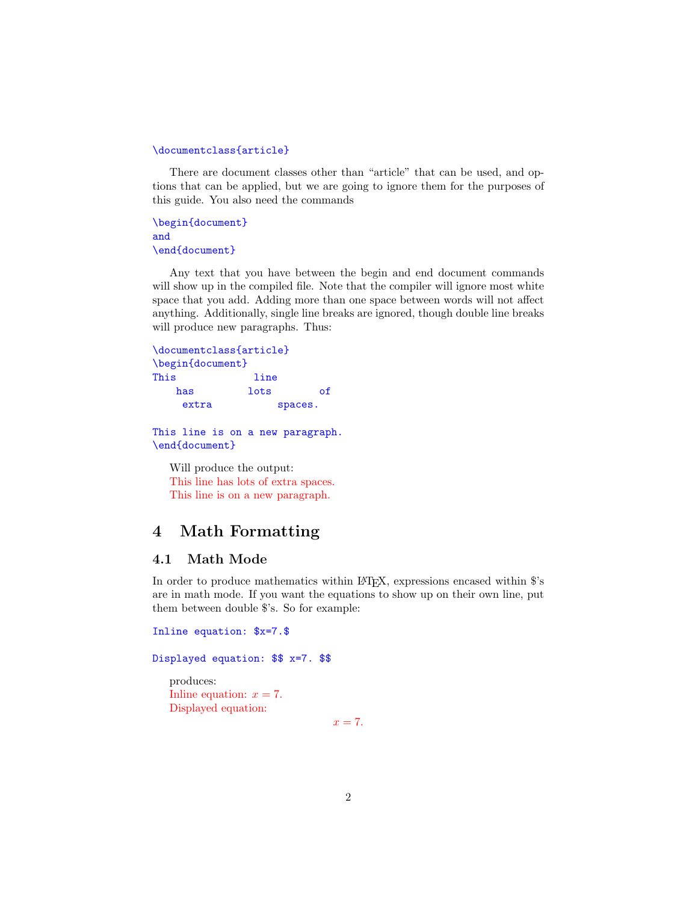\documentclass{article}

There are document classes other than "article" that can be used, and options that can be applied, but we are going to ignore them for the purposes of this guide. You also need the commands

\begin{document} and \end{document}

Any text that you have between the begin and end document commands will show up in the compiled file. Note that the compiler will ignore most white space that you add. Adding more than one space between words will not affect anything. Additionally, single line breaks are ignored, though double line breaks will produce new paragraphs. Thus:

```
\documentclass{article}
\begin{document}
This line
  has lots of
   extra spaces.
```
This line is on a new paragraph. \end{document}

Will produce the output: This line has lots of extra spaces. This line is on a new paragraph.

# 4 Math Formatting

### 4.1 Math Mode

In order to produce mathematics within LAT<sub>E</sub>X, expressions encased within  $\frac{1}{3}$ 's are in math mode. If you want the equations to show up on their own line, put them between double \$'s. So for example:

Inline equation: \$x=7.\$

Displayed equation: \$\$ x=7. \$\$

produces: In line equation:  $x = 7$ . Displayed equation:

 $x = 7$ .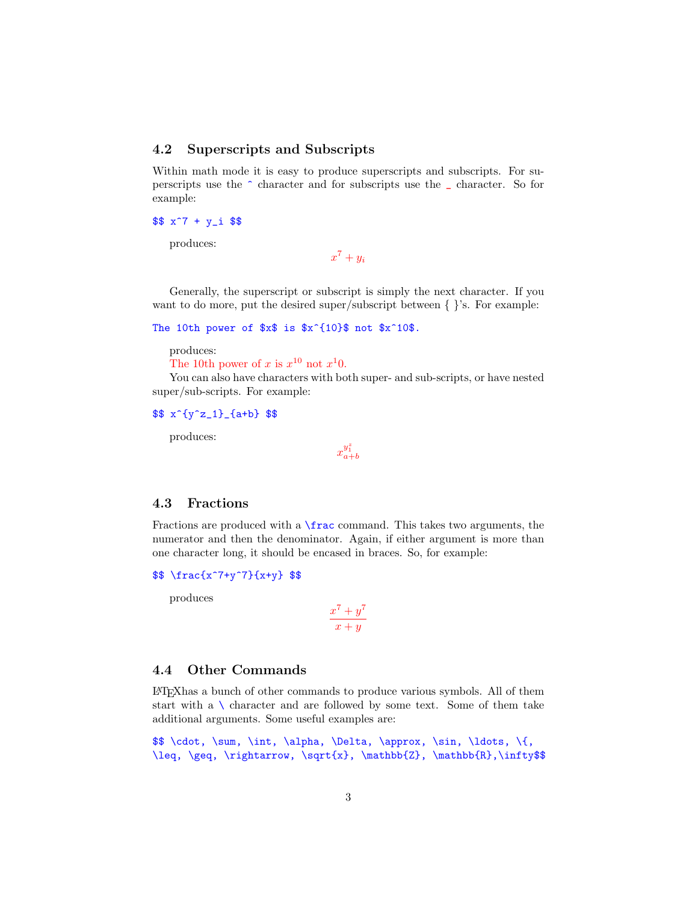### 4.2 Superscripts and Subscripts

Within math mode it is easy to produce superscripts and subscripts. For superscripts use the ^ character and for subscripts use the \_ character. So for example:

#### \$\$ x^7 + y\_i \$\$

produces:

 $x^7+y_i$ 

Generally, the superscript or subscript is simply the next character. If you want to do more, put the desired super/subscript between  $\{\}$ 's. For example:

#### The 10th power of  $x\$  is  $x^{(10)}\$  not  $x^{(10)}$ .

produces:

The 10th power of x is  $x^{10}$  not  $x^10$ .

You can also have characters with both super- and sub-scripts, or have nested super/sub-scripts. For example:

### \$\$ x^{y^z\_1}\_{a+b} \$\$

produces:

 $x_{a+b}^{y_1^z}$ 

### 4.3 Fractions

Fractions are produced with a  $\frac{frac}{c}$  command. This takes two arguments, the numerator and then the denominator. Again, if either argument is more than one character long, it should be encased in braces. So, for example:

#### \$\$ \frac{x^7+y^7}{x+y} \$\$

produces

$$
\frac{x^7 + y^7}{x + y}
$$

#### 4.4 Other Commands

LATEXhas a bunch of other commands to produce various symbols. All of them start with a  $\setminus$  character and are followed by some text. Some of them take additional arguments. Some useful examples are:

\$\$\cdot,\sum,\int,\alpha,\Delta,\approx,\sin,\ldots,\{, \leq, \geq, \rightarrow, \sqrt{x}, \mathbb{Z}, \mathbb{R},\infty\$\$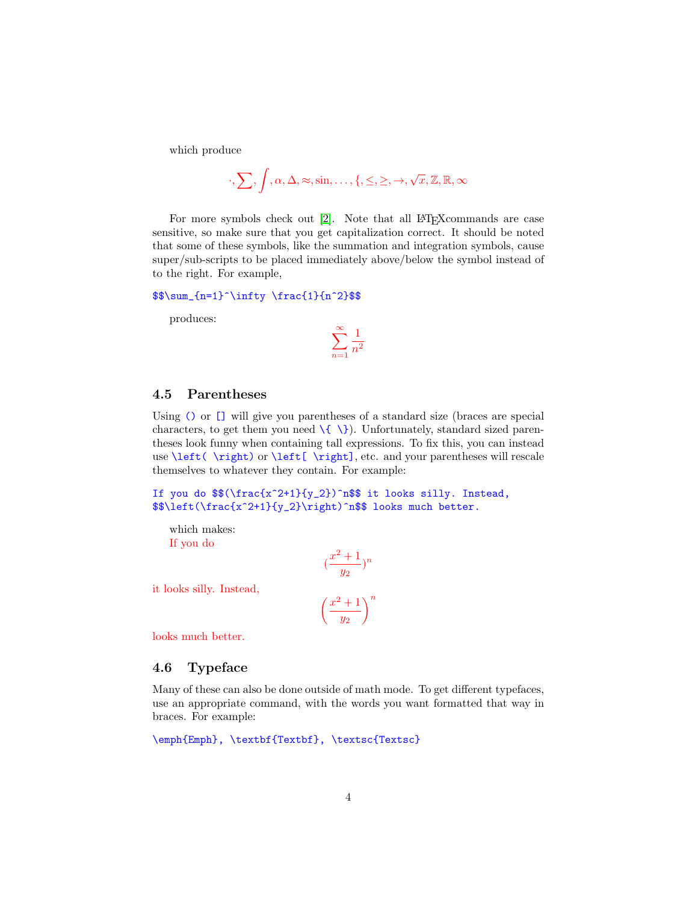which produce

$$
\cdot, \sum, \int, \alpha, \Delta, \approx, \sin, \ldots, \{ \xi, \xi, \xi, \to, \sqrt{x}, \mathbb{Z}, \mathbb{R}, \infty \}
$$

For more symbols check out [\[2\]](#page-10-1). Note that all LAT<sub>E</sub>X commands are case sensitive, so make sure that you get capitalization correct. It should be noted that some of these symbols, like the summation and integration symbols, cause super/sub-scripts to be placed immediately above/below the symbol instead of to the right. For example,

 $\sum_{n=1}^{\infty} \frac{1}{n^2}$ 

produces:

$$
\sum_{n=1}^{\infty} \frac{1}{n^2}
$$

### 4.5 Parentheses

Using () or  $\Box$  will give you parentheses of a standard size (braces are special characters, to get them you need  $\{\{\}\}\$ . Unfortunately, standard sized parentheses look funny when containing tall expressions. To fix this, you can instead use \left( \right) or \left[ \right], etc. and your parentheses will rescale themselves to whatever they contain. For example:

If you do  $\$(\frac{x^2+1}{y_2})^n$ \$ it looks silly. Instead, \$\$\left(\frac{x^2+1}{y\_2}\right)^n\$\$ looks much better.

which makes: If you do

$$
\left(\frac{x^2+1}{y_2}\right)^n
$$

$$
\left(x^2+1\right)^n
$$

 $y_2$ 

it looks silly. Instead,

looks much better.

### 4.6 Typeface

Many of these can also be done outside of math mode. To get different typefaces, use an appropriate command, with the words you want formatted that way in braces. For example:

```
\emph{Emph}, \textbf{Textbf}, \textsc{Textsc}
```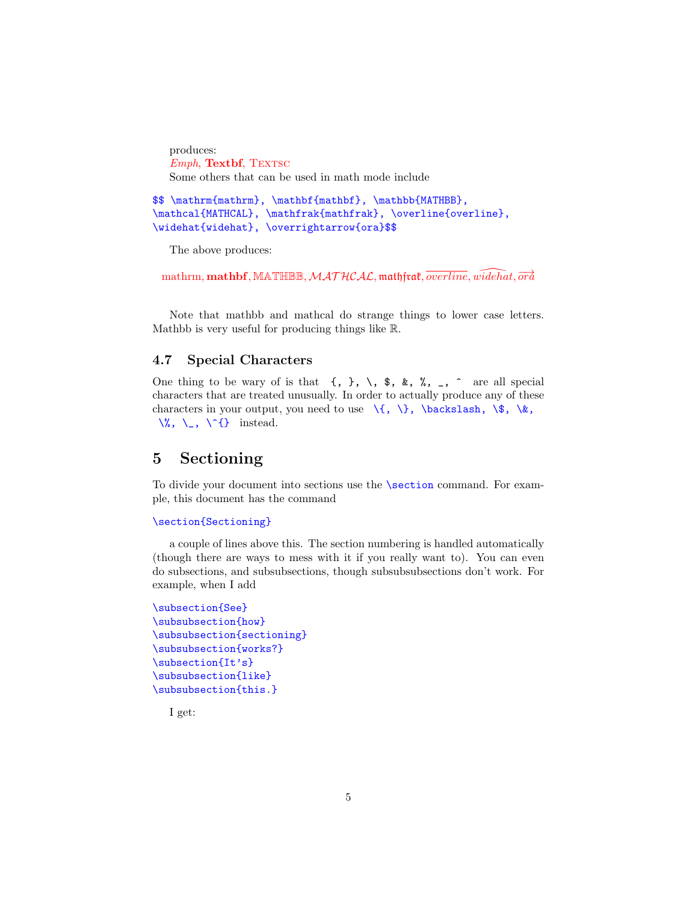produces: Emph, Textbf, TEXTSC Some others that can be used in math mode include

```
$$ \mathrm{mathrm}, \mathbf{mathbf}, \mathbb{MATHBB},
\mathcal{MATHCAL}, \mathfrak{mathfrak}, \overline{overline},
\widehat{widehat}, \overrightarrow{ora}$$
```
The above produces:

 $m$ athrm, mathbf, MATHBB, MATHCAL, mathfrat,  $\overline{overline}$ , widehat,  $\overline{\overline{ord}}$ 

Note that mathbb and mathcal do strange things to lower case letters. Mathbb is very useful for producing things like R.

### 4.7 Special Characters

One thing to be wary of is that  $\{$ ,  $\}$ ,  $\}$ ,  $\$$ ,  $\&$ ,  $\%$ ,  $\_$ ,  $\degree$  are all special characters that are treated unusually. In order to actually produce any of these characters in your output, you need to use \{, \}, \backslash, \\$, \&,  $\langle \delta, \ \rangle$ ,  $\langle \hat{\ } \rangle$  instead.

# 5 Sectioning

To divide your document into sections use the \section command. For example, this document has the command

#### \section{Sectioning}

a couple of lines above this. The section numbering is handled automatically (though there are ways to mess with it if you really want to). You can even do subsections, and subsubsections, though subsubsubsections don't work. For example, when I add

```
\subsection{See}
\subsubsection{how}
\subsubsection{sectioning}
\subsubsection{works?}
\subsection{It's}
\subsubsection{like}
\subsubsection{this.}
```
I get: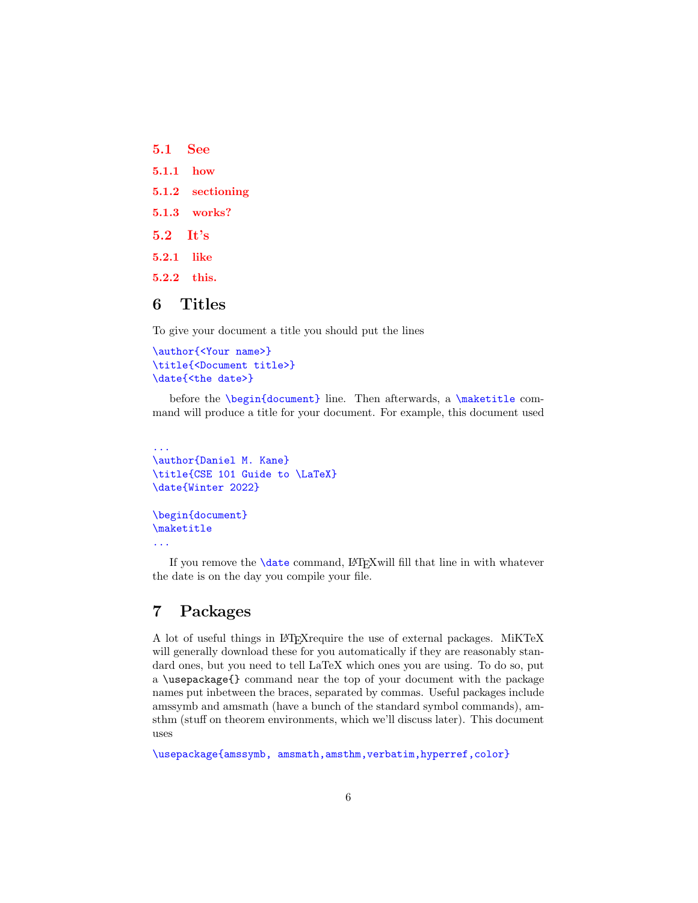5.1 See 5.1.1 how 5.1.2 sectioning 5.1.3 works? 5.2 It's 5.2.1 like 5.2.2 this.

# 6 Titles

To give your document a title you should put the lines

\author{<Your name>} \title{<Document title>} \date{<the date>}

before the **\begin{document}** line. Then afterwards, a **\maketitle** command will produce a title for your document. For example, this document used

```
...
\author{Daniel M. Kane}
\title{CSE 101 Guide to \LaTeX}
\date{Winter 2022}
```
\begin{document} \maketitle ...

If you remove the  $\delta$  value command, LATEX will fill that line in with whatever the date is on the day you compile your file.

# 7 Packages

A lot of useful things in LATEXrequire the use of external packages. MiKTeX will generally download these for you automatically if they are reasonably standard ones, but you need to tell LaTeX which ones you are using. To do so, put a \usepackage{} command near the top of your document with the package names put inbetween the braces, separated by commas. Useful packages include amssymb and amsmath (have a bunch of the standard symbol commands), amsthm (stuff on theorem environments, which we'll discuss later). This document uses

\usepackage{amssymb, amsmath,amsthm,verbatim,hyperref,color}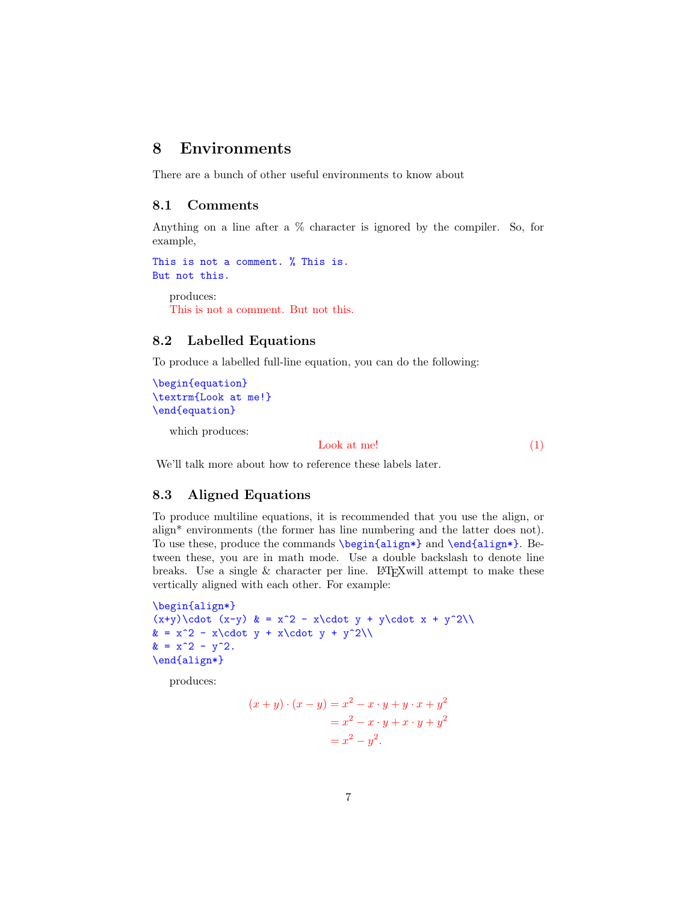# 8 Environments

There are a bunch of other useful environments to know about

### 8.1 Comments

Anything on a line after a % character is ignored by the compiler. So, for example,

```
This is not a comment. % This is.
But not this.
```
produces: This is not a comment. But not this.

### 8.2 Labelled Equations

To produce a labelled full-line equation, you can do the following:

```
\begin{equation}
\textrm{Look at me!}
\end{equation}
```
which produces:

### Look at me!  $(1)$

We'll talk more about how to reference these labels later.

### 8.3 Aligned Equations

To produce multiline equations, it is recommended that you use the align, or align\* environments (the former has line numbering and the latter does not). To use these, produce the commands \begin{align\*} and \end{align\*}. Between these, you are in math mode. Use a double backslash to denote line breaks. Use a single  $&$  character per line. LAT<sub>E</sub>Xwill attempt to make these vertically aligned with each other. For example:

```
\begin{align*}
```
 $(x+y)\cdot dx = x^2 - x\cdot y + y\cdot x + y^2\cdot y$  $\& = x^2 - x\cdot y + x\cdot y + y^2\lambda$  $x = x^2 - y^2$ . \end{align\*}

produces:

$$
(x + y) \cdot (x - y) = x^{2} - x \cdot y + y \cdot x + y^{2}
$$
  
=  $x^{2} - x \cdot y + x \cdot y + y^{2}$   
=  $x^{2} - y^{2}$ .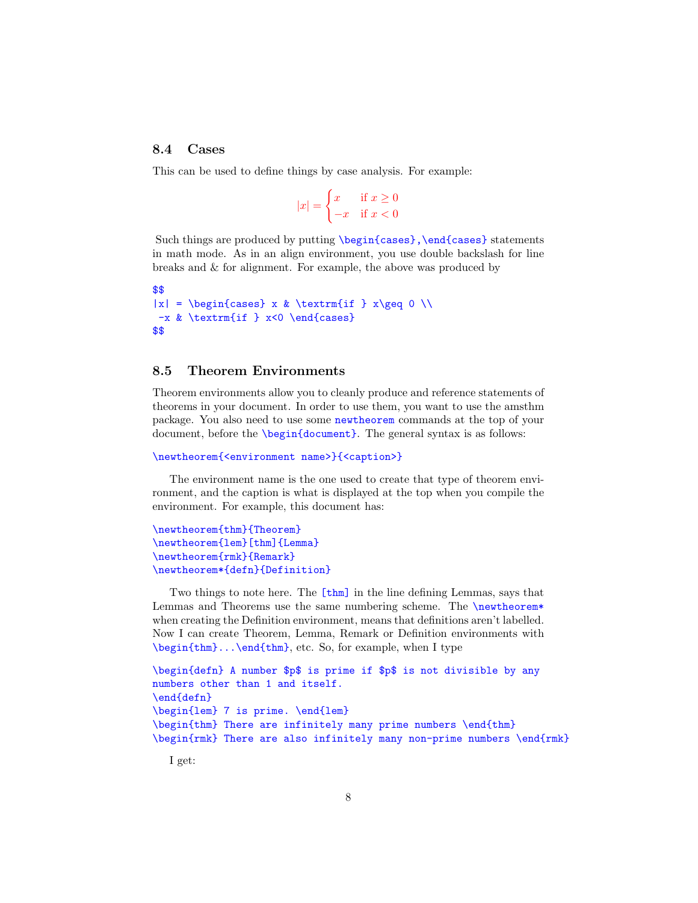### 8.4 Cases

This can be used to define things by case analysis. For example:

$$
|x| = \begin{cases} x & \text{if } x \ge 0\\ -x & \text{if } x < 0 \end{cases}
$$

Such things are produced by putting \begin{cases}, \end{cases} statements in math mode. As in an align environment, you use double backslash for line breaks and & for alignment. For example, the above was produced by

```
$$
|x| = \begin{cases} x & \text{if } x\geq 0 \end{cases}-x & \textrm{if } x<0 \end{cases}
$$
```
### 8.5 Theorem Environments

Theorem environments allow you to cleanly produce and reference statements of theorems in your document. In order to use them, you want to use the amsthm package. You also need to use some newtheorem commands at the top of your document, before the **\begin{document}**. The general syntax is as follows:

```
\newtheorem{<environment name>}{<caption>}
```
The environment name is the one used to create that type of theorem environment, and the caption is what is displayed at the top when you compile the environment. For example, this document has:

```
\newtheorem{thm}{Theorem}
\newtheorem{lem}[thm]{Lemma}
\newtheorem{rmk}{Remark}
\newtheorem*{defn}{Definition}
```
Two things to note here. The  $[\text{thm}]$  in the line defining Lemmas, says that Lemmas and Theorems use the same numbering scheme. The \newtheorem\* when creating the Definition environment, means that definitions aren't labelled. Now I can create Theorem, Lemma, Remark or Definition environments with \begin{thm}...\end{thm}, etc. So, for example, when I type

```
\begin{defn} A number $p$ is prime if $p$ is not divisible by any
numbers other than 1 and itself.
\end{defn}
\begin{lem} 7 is prime. \end{lem}
\begin{thm} There are infinitely many prime numbers \end{thm}
\begin{rmk} There are also infinitely many non-prime numbers \end{rmk}
```
I get: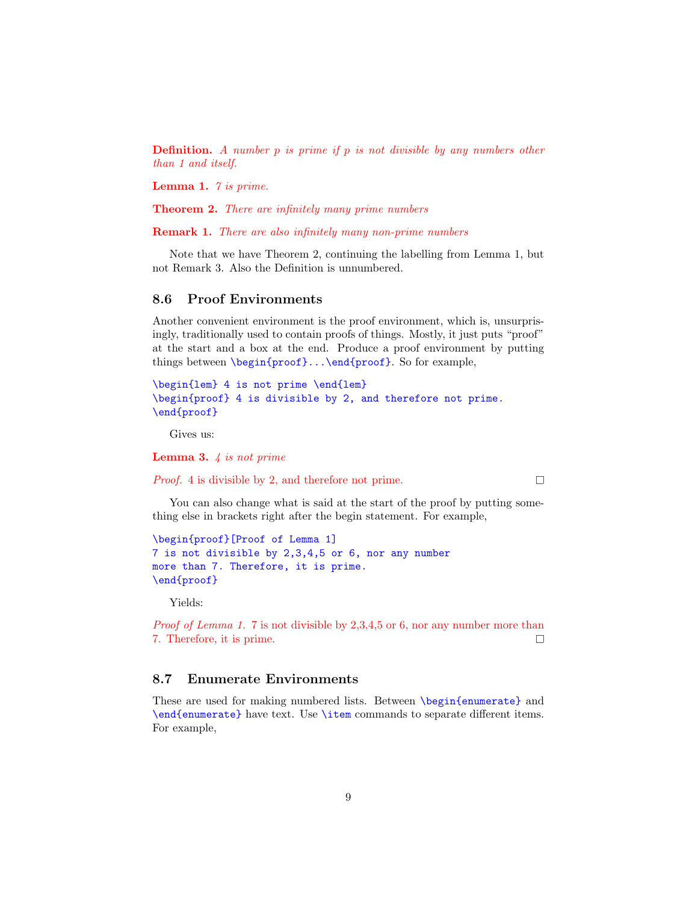**Definition.** A number p is prime if p is not divisible by any numbers other than 1 and itself.

Lemma 1. 7 is prime.

Theorem 2. There are infinitely many prime numbers

Remark 1. There are also infinitely many non-prime numbers

Note that we have Theorem 2, continuing the labelling from Lemma 1, but not Remark 3. Also the Definition is unnumbered.

### 8.6 Proof Environments

Another convenient environment is the proof environment, which is, unsurprisingly, traditionally used to contain proofs of things. Mostly, it just puts "proof" at the start and a box at the end. Produce a proof environment by putting things between \begin{proof}...\end{proof}. So for example,

```
\begin{lem} 4 is not prime \end{lem}
\begin{proof} 4 is divisible by 2, and therefore not prime.
\end{proof}
```
Gives us:

**Lemma 3.**  $4$  is not prime

Proof. 4 is divisible by 2, and therefore not prime.

 $\Box$ 

You can also change what is said at the start of the proof by putting something else in brackets right after the begin statement. For example,

```
\begin{proof}[Proof of Lemma 1]
7 is not divisible by 2,3,4,5 or 6, nor any number
more than 7. Therefore, it is prime.
\end{proof}
```
Yields:

*Proof of Lemma 1.* 7 is not divisible by  $2,3,4,5$  or 6, nor any number more than 7. Therefore, it is prime.  $\Box$ 

### 8.7 Enumerate Environments

These are used for making numbered lists. Between \begin{enumerate} and \end{enumerate} have text. Use \item commands to separate different items. For example,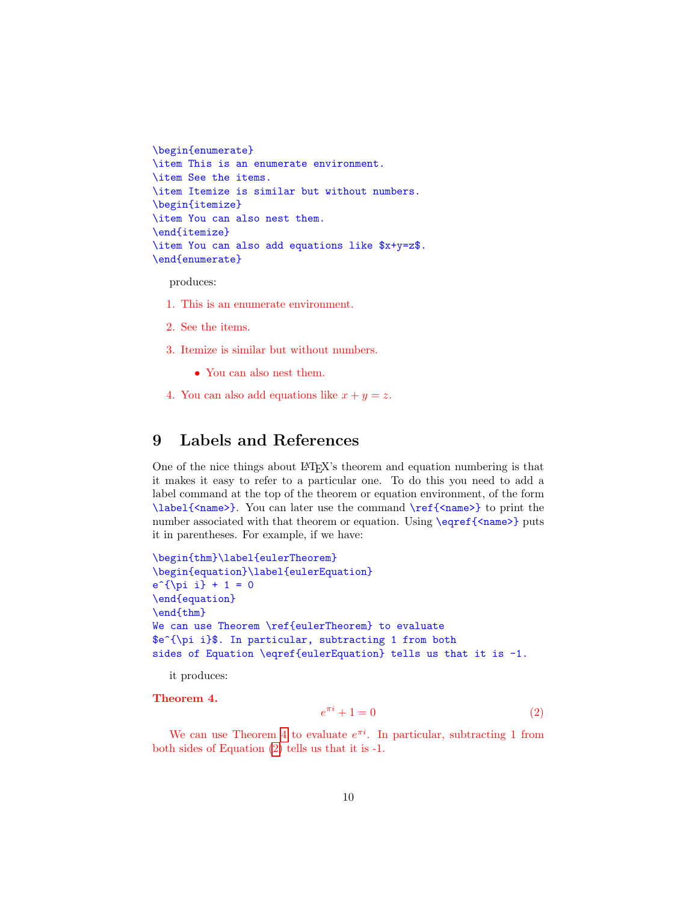```
\begin{enumerate}
\item This is an enumerate environment.
\item See the items.
\item Itemize is similar but without numbers.
\begin{itemize}
\item You can also nest them.
\end{itemize}
\item You can also add equations like $x+y=z$.
\end{enumerate}
```
produces:

- 1. This is an enumerate environment.
- 2. See the items.
- 3. Itemize is similar but without numbers.
	- You can also nest them.
- 4. You can also add equations like  $x + y = z$ .

# 9 Labels and References

One of the nice things about LAT<sub>EX</sub>'s theorem and equation numbering is that it makes it easy to refer to a particular one. To do this you need to add a label command at the top of the theorem or equation environment, of the form \label{<name>}. You can later use the command \ref{<name>} to print the number associated with that theorem or equation. Using \eqref{<name>} puts it in parentheses. For example, if we have:

```
\begin{thm}\label{eulerTheorem}
\begin{equation}\label{eulerEquation}
e^{\pi i} + 1 = 0\end{equation}
\end{thm}
We can use Theorem \ref{eulerTheorem} to evaluate
$e^{\pi i}$. In particular, subtracting 1 from both
sides of Equation \eqref{eulerEquation} tells us that it is -1.
```
it produces:

#### <span id="page-9-0"></span>Theorem 4.

<span id="page-9-1"></span>
$$
e^{\pi i} + 1 = 0\tag{2}
$$

We can use Theorem [4](#page-9-0) to evaluate  $e^{\pi i}$ . In particular, subtracting 1 from both sides of Equation [\(2\)](#page-9-1) tells us that it is -1.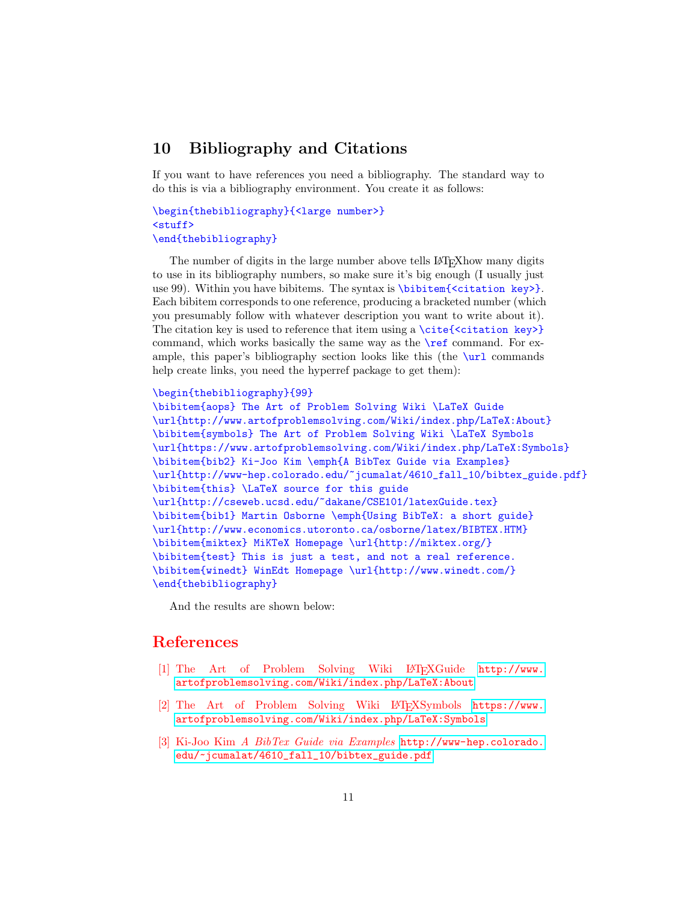# 10 Bibliography and Citations

If you want to have references you need a bibliography. The standard way to do this is via a bibliography environment. You create it as follows:

```
\begin{thebibliography}{<large number>}
<stuff>
\end{thebibliography}
```
The number of digits in the large number above tells LAT<sub>EX</sub>how many digits to use in its bibliography numbers, so make sure it's big enough (I usually just use 99). Within you have bibitems. The syntax is \bibitem{<citation key>}. Each bibitem corresponds to one reference, producing a bracketed number (which you presumably follow with whatever description you want to write about it). The citation key is used to reference that item using a  $\ct{citation key>}$ command, which works basically the same way as the \ref command. For example, this paper's bibliography section looks like this (the  $\url$  commands help create links, you need the hyperref package to get them):

#### \begin{thebibliography}{99}

```
\bibitem{aops} The Art of Problem Solving Wiki \LaTeX Guide
\url{http://www.artofproblemsolving.com/Wiki/index.php/LaTeX:About}
\bibitem{symbols} The Art of Problem Solving Wiki \LaTeX Symbols
\url{https://www.artofproblemsolving.com/Wiki/index.php/LaTeX:Symbols}
\bibitem{bib2} Ki-Joo Kim \emph{A BibTex Guide via Examples}
\url{http://www-hep.colorado.edu/~jcumalat/4610_fall_10/bibtex_guide.pdf}
\bibitem{this} \LaTeX source for this guide
\url{http://cseweb.ucsd.edu/~dakane/CSE101/latexGuide.tex}
\bibitem{bib1} Martin Osborne \emph{Using BibTeX: a short guide}
\url{http://www.economics.utoronto.ca/osborne/latex/BIBTEX.HTM}
\bibitem{miktex} MiKTeX Homepage \url{http://miktex.org/}
\bibitem{test} This is just a test, and not a real reference.
\bibitem{winedt} WinEdt Homepage \url{http://www.winedt.com/}
\end{thebibliography}
```
And the results are shown below:

# References

- <span id="page-10-0"></span>[1] The Art of Problem Solving Wiki LATEXGuide [http://www.](http://www.artofproblemsolving.com/Wiki/index.php/LaTeX:About) [artofproblemsolving.com/Wiki/index.php/LaTeX:About](http://www.artofproblemsolving.com/Wiki/index.php/LaTeX:About)
- <span id="page-10-1"></span>[2] The Art of Problem Solving Wiki LATEXSymbols [https://www.](https://www.artofproblemsolving.com/Wiki/index.php/LaTeX:Symbols) [artofproblemsolving.com/Wiki/index.php/LaTeX:Symbols](https://www.artofproblemsolving.com/Wiki/index.php/LaTeX:Symbols)
- <span id="page-10-2"></span>[3] Ki-Joo Kim A BibTex Guide via Examples [http://www-hep.colorado.](http://www-hep.colorado.edu/~jcumalat/4610_fall_10/bibtex_guide.pdf) [edu/~jcumalat/4610\\_fall\\_10/bibtex\\_guide.pdf](http://www-hep.colorado.edu/~jcumalat/4610_fall_10/bibtex_guide.pdf)